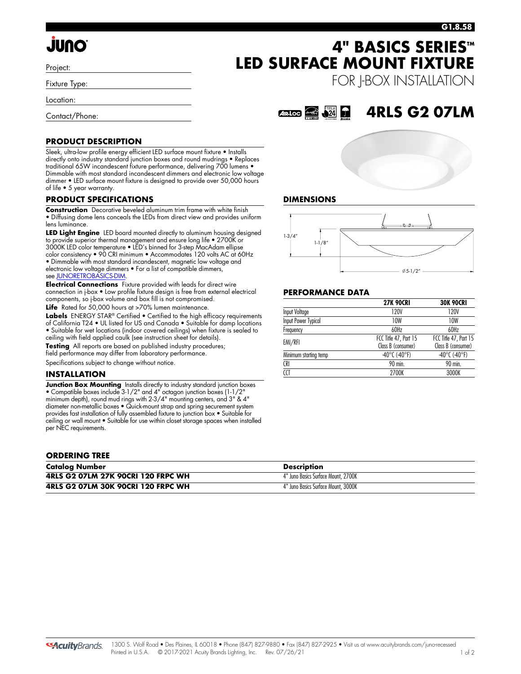# **JUNO**

Project:

Fixture Type:

Location:

Contact/Phone:

### **PRODUCT DESCRIPTION**

Sleek, ultra-low profile energy efficient LED surface mount fixture • Installs directly onto industry standard junction boxes and round mudrings • Replaces traditional 65W incandescent fixture performance, delivering 700 lumens • Dimmable with most standard incandescent dimmers and electronic low voltage dimmer • LED surface mount fixture is designed to provide over 50,000 hours of life • 5 year warranty.

#### **PRODUCT SPECIFICATIONS**

**Construction** Decorative beveled aluminum trim frame with white finish • Diffusing dome lens conceals the LEDs from direct view and provides uniform lens luminance.

**LED Light Engine** LED board mounted directly to aluminum housing designed to provide superior thermal management and ensure long life • 2700K or 3000K LED color temperature • LED's binned for 3-step MacAdam ellipse color consistency • 90 CRI minimum • Accommodates 120 volts AC at 60Hz • Dimmable with most standard incandescent, magnetic low voltage and electronic low voltage dimmers • For a list of compatible dimmers,

see [JUNORETROBASICS-DIM](http://www.acuitybrands.com/shell/-/media/Files/Acuity/Other/JUNORETROBASICS-DIM.pdf).

**Electrical Connections** Fixture provided with leads for direct wire connection in j-box • Low profile fixture design is free from external electrical components, so j-box volume and box fill is not compromised.

Life Rated for 50,000 hours at >70% lumen maintenance. Labels ENERGY STAR<sup>®</sup> Certified • Certified to the high efficacy requirements of California T24 • UL listed for US and Canada • Suitable for damp locations • Suitable for wet locations (indoor covered ceilings) when fixture is sealed to ceiling with field applied caulk (see instruction sheet for details). **Testing** All reports are based on published industry procedures;

field performance may differ from laboratory performance.

Specifications subject to change without notice.

#### **INSTALLATION**

**Junction Box Mounting** Installs directly to industry standard junction boxes • Compatible boxes include 3-1/2" and 4" octagon junction boxes (1-1/2" minimum depth), round mud rings with 2-3/4" mounting centers, and 3" & 4" diameter non-metallic boxes • Quick-mount strap and spring securement system provides fast installation of fully assembled fixture to junction box • Suitable for ceiling or wall mount • Suitable for use within closet storage spaces when installed per NEC requirements.

#### **ORDERING TREE**

| <b>Catalog Number</b>              | <b>Description</b>                  |
|------------------------------------|-------------------------------------|
| 4RLS G2 07LM 27K 90CRI 120 FRPC WH | 4" Juno Basics Surface Mount, 2700K |
| 4RLS G2 07LM 30K 90CRI 120 FRPC WH | 4" Juno Basics Surface Mount, 3000K |

## **4" BASICS SERIES™ LED SURFACE MOUNT FIXTURE**

FOR J-BOX INSTALLATION

#### $A$ R.Loc  $\widehat{=}$   $\widehat{24}$ **4RLS G2 07LM**





### **PERFORMANCE DATA**

|                       | <b>27K 90CRI</b>                            | <b>30K 90CRI</b>                            |
|-----------------------|---------------------------------------------|---------------------------------------------|
| Input Voltage         | 120V                                        | 120V                                        |
| Input Power Typical   | 10W                                         | 10W                                         |
| Frequency             | 60Hz                                        | 60Hz                                        |
| EMI/RFI               | FCC Title 47, Part 15<br>Class B (consumer) | FCC Title 47, Part 15<br>Class B (consumer) |
| Minimum starting temp | $-40^{\circ}$ C (-40°F)                     | $-40^{\circ}$ C (-40°F)                     |
| <b>CRI</b>            | 90 min.                                     | 90 min.                                     |
| CCT                   | 2700K                                       | 3000K                                       |